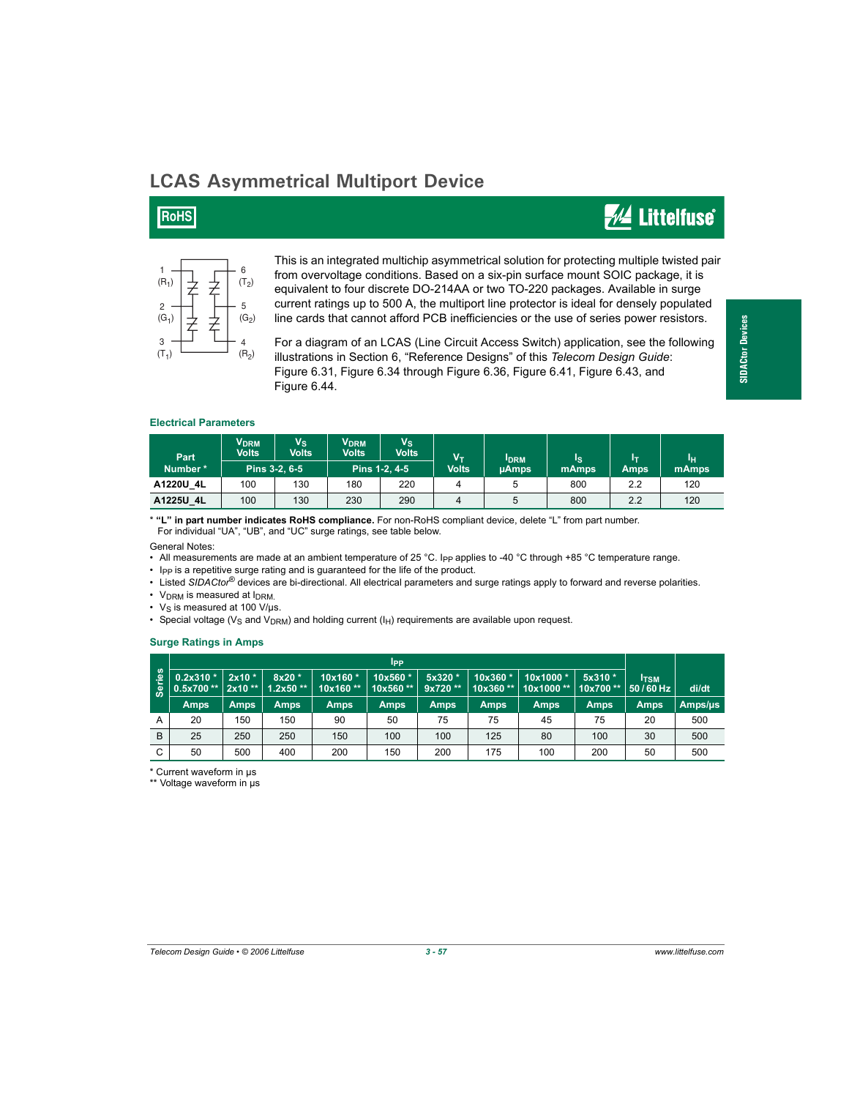## **LCAS Asymmetrical Multiport Device**

### **RoHS**

## **WA Littelfuse**



This is an integrated multichip asymmetrical solution for protecting multiple twisted pair from overvoltage conditions. Based on a six-pin surface mount SOIC package, it is equivalent to four discrete DO-214AA or two TO-220 packages. Available in surge current ratings up to 500 A, the multiport line protector is ideal for densely populated line cards that cannot afford PCB inefficiencies or the use of series power resistors.

For a diagram of an LCAS (Line Circuit Access Switch) application, see the following illustrations in Section 6, "Reference Designs" of this *Telecom Design Guide*: Figure 6.31, Figure 6.34 through Figure 6.36, Figure 6.41, Figure 6.43, and Figure 6.44.

# **SIDACtor Devices SIDACtor Devices**

#### **Electrical Parameters**

| Part<br>Number* | <b>V</b> <sub>DRM</sub><br><b>Volts</b> | $V_{\rm S}$<br>Volts | <b>VDRM</b><br><b>Volts</b> | $V_{\rm S}$<br><b>Volts</b> | Vт<br><b>I</b> DRM |              | Is    | Iт   | Ιн    |
|-----------------|-----------------------------------------|----------------------|-----------------------------|-----------------------------|--------------------|--------------|-------|------|-------|
|                 | Pins 3-2, 6-5                           |                      | Pins 1-2, 4-5               |                             | <b>Volts</b>       | <b>µAmps</b> | mAmps | Amps | mAmps |
| A1220U 4L       | 100                                     | 130                  | 180                         | 220                         |                    |              | 800   | 2.2  | 120   |
| A1225U 4L       | 100                                     | 130                  | 230                         | 290                         | 4                  | 5            | 800   | 2.2  | 120   |

\* **"L" in part number indicates RoHS compliance.** For non-RoHS compliant device, delete "L" from part number. For individual "UA", "UB", and "UC" surge ratings, see table below.

General Notes:

• All measurements are made at an ambient temperature of 25 °C. I<sub>PP</sub> applies to -40 °C through +85 °C temperature range.

• Ipp is a repetitive surge rating and is guaranteed for the life of the product.

• Listed *SIDACtor*® devices are bi-directional. All electrical parameters and surge ratings apply to forward and reverse polarities.

•  $V_{DRM}$  is measured at  $I_{DRM}$ .

•  $V_S$  is measured at 100 V/ $\mu$ s.

• Special voltage ( $V_S$  and  $V_{DRM}$ ) and holding current ( $I_H$ ) requirements are available upon request.

#### **Surge Ratings in Amps**

|                    | <b>I</b> pp                                                       |             |        |                     |                      |                     |             |                                                  |             |                   |         |
|--------------------|-------------------------------------------------------------------|-------------|--------|---------------------|----------------------|---------------------|-------------|--------------------------------------------------|-------------|-------------------|---------|
| <u>səi</u><br>မြွှ | $0.2x310*$<br>$\vert$ 0.5x700** $\vert$ 2x10 ** $\vert$ 1.2x50 ** | $2x10*$     | 8x20 * | 10x160*<br>10x160** | 10x560 *<br>10x560** | 5x320 *<br>9x720 ** | 10x360 *    | 10x1000*<br>  10x360 **   10x1000 **   10x700 ** | $5x310*$    | ltsm.<br>50/60 Hz | di/dt   |
|                    | Amps                                                              | <b>Amps</b> | Amps   | <b>Amps</b>         | <b>Amps</b>          | Amps                | <b>Amps</b> | Amps                                             | <b>Amps</b> | <b>Amps</b>       | Amps/µs |
| A                  | 20                                                                | 150         | 150    | 90                  | 50                   | 75                  | 75          | 45                                               | 75          | 20                | 500     |
| B                  | 25                                                                | 250         | 250    | 150                 | 100                  | 100                 | 125         | 80                                               | 100         | 30                | 500     |
| C                  | 50                                                                | 500         | 400    | 200                 | 150                  | 200                 | 175         | 100                                              | 200         | 50                | 500     |

\* Current waveform in µs \*\* Voltage waveform in µs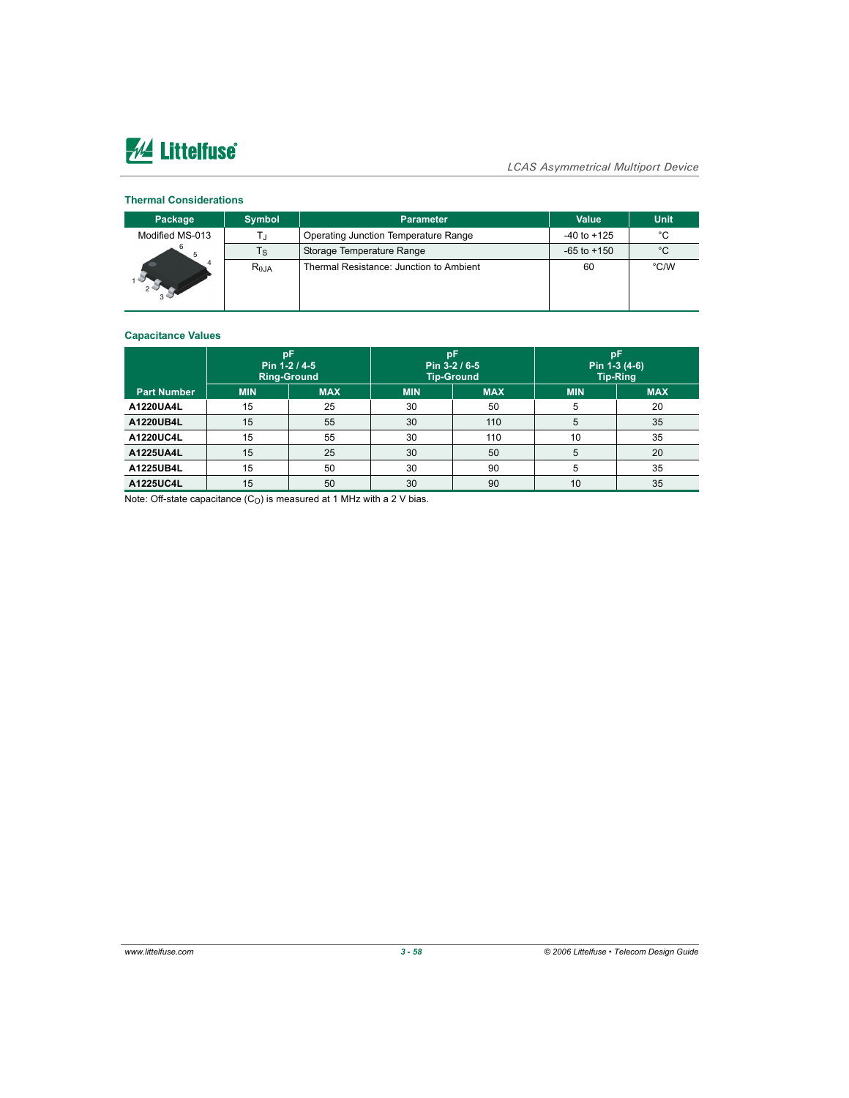# **AL Littelfuse**

#### *LCAS Asymmetrical Multiport Device*

#### **Thermal Considerations**

| Package         | <b>Symbol</b>  | Parameter                               | Value           | Unit |
|-----------------|----------------|-----------------------------------------|-----------------|------|
| Modified MS-013 |                | Operating Junction Temperature Range    | $-40$ to $+125$ | °С   |
|                 | Τs             | Storage Temperature Range               | $-65$ to $+150$ | °C   |
|                 | $R_{\theta$ JA | Thermal Resistance: Junction to Ambient | 60              | °C/W |

#### **Capacitance Values**

|                    | pF<br>Pin 1-2 / 4-5<br><b>Ring-Ground</b> |            |            | Pin 3-2 / 6-5<br><b>Tip-Ground</b> | рF<br>Pin 1-3 (4-6)<br><b>Tip-Ring</b> |            |  |
|--------------------|-------------------------------------------|------------|------------|------------------------------------|----------------------------------------|------------|--|
| <b>Part Number</b> | <b>MIN</b>                                | <b>MAX</b> | <b>MIN</b> | <b>MAX</b>                         | <b>MIN</b>                             | <b>MAX</b> |  |
| A1220UA4L          | 15                                        | 25         | 30         | 50                                 | 5                                      | 20         |  |
| A1220UB4L          | 15                                        | 55         | 30         | 110                                | 5                                      | 35         |  |
| A1220UC4L          | 15                                        | 55         | 30         | 110                                | 10                                     | 35         |  |
| A1225UA4L          | 15                                        | 25         | 30         | 50                                 | 5                                      | 20         |  |
| A1225UB4L          | 15                                        | 50         | 30         | 90                                 | 5                                      | 35         |  |
| A1225UC4L          | 15                                        | 50         | 30         | 90                                 | 10                                     | 35         |  |

Note: Off-state capacitance  $(C_O)$  is measured at 1 MHz with a 2 V bias.